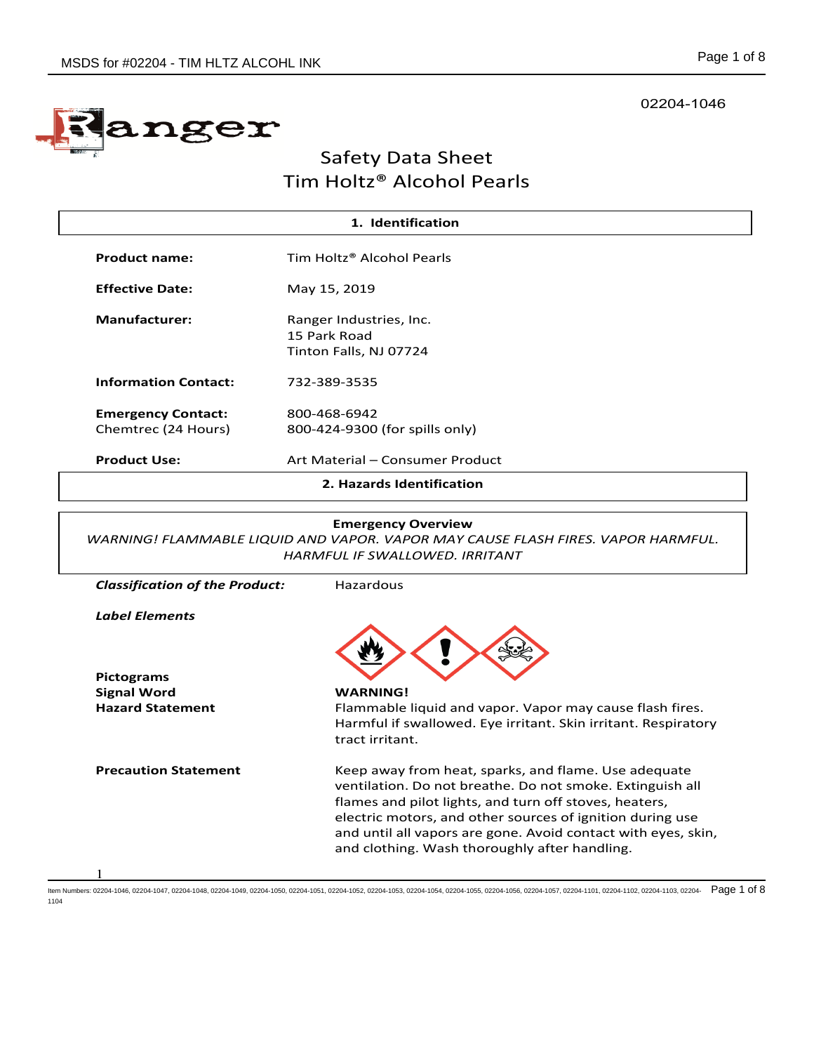# nger

# Safety Data Sheet Tim Holtz® Alcohol Pearls

| 1. Identification                                |                                                                   |  |  |
|--------------------------------------------------|-------------------------------------------------------------------|--|--|
| <b>Product name:</b>                             | Tim Holtz <sup>®</sup> Alcohol Pearls                             |  |  |
| <b>Effective Date:</b>                           | May 15, 2019                                                      |  |  |
| <b>Manufacturer:</b>                             | Ranger Industries, Inc.<br>15 Park Road<br>Tinton Falls, NJ 07724 |  |  |
| <b>Information Contact:</b>                      | 732-389-3535                                                      |  |  |
| <b>Emergency Contact:</b><br>Chemtrec (24 Hours) | 800-468-6942<br>800-424-9300 (for spills only)                    |  |  |
| <b>Product Use:</b>                              | Art Material - Consumer Product                                   |  |  |
| 2. Hazards Identification                        |                                                                   |  |  |

# **Emergency Overview**

*WARNING! FLAMMABLE LIQUID AND VAPOR. VAPOR MAY CAUSE FLASH FIRES. VAPOR HARMFUL. HARMFUL IF SWALLOWED. IRRITANT*

| <b>Classification of the Product:</b> | Hazardous                                                                                                                                                                                                                                                                                                                                                  |
|---------------------------------------|------------------------------------------------------------------------------------------------------------------------------------------------------------------------------------------------------------------------------------------------------------------------------------------------------------------------------------------------------------|
| Label Elements                        |                                                                                                                                                                                                                                                                                                                                                            |
| <b>Pictograms</b>                     |                                                                                                                                                                                                                                                                                                                                                            |
| <b>Signal Word</b>                    | <b>WARNING!</b>                                                                                                                                                                                                                                                                                                                                            |
| <b>Hazard Statement</b>               | Flammable liquid and vapor. Vapor may cause flash fires.<br>Harmful if swallowed. Eye irritant. Skin irritant. Respiratory<br>tract irritant.                                                                                                                                                                                                              |
| <b>Precaution Statement</b>           | Keep away from heat, sparks, and flame. Use adequate<br>ventilation. Do not breathe. Do not smoke. Extinguish all<br>flames and pilot lights, and turn off stoves, heaters,<br>electric motors, and other sources of ignition during use<br>and until all vapors are gone. Avoid contact with eyes, skin,<br>and clothing. Wash thoroughly after handling. |
|                                       |                                                                                                                                                                                                                                                                                                                                                            |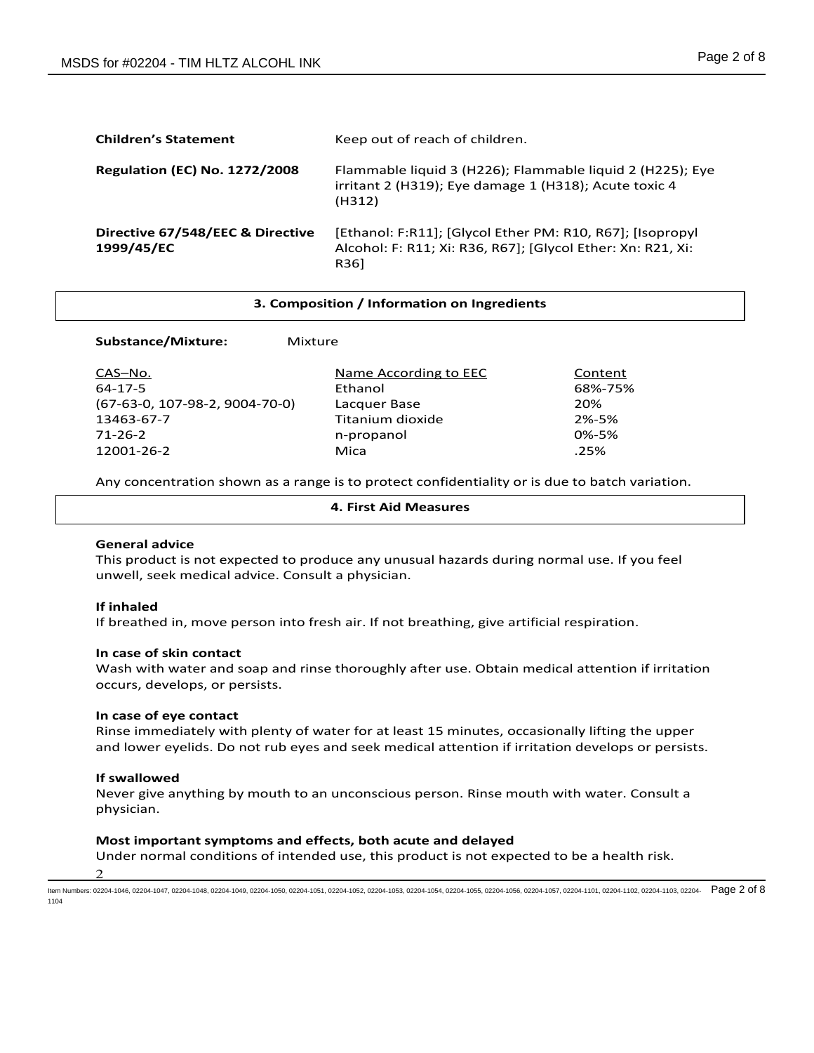| <b>Children's Statement</b>                    | Keep out of reach of children.                                                                                                   |
|------------------------------------------------|----------------------------------------------------------------------------------------------------------------------------------|
| <b>Regulation (EC) No. 1272/2008</b>           | Flammable liquid 3 (H226); Flammable liquid 2 (H225); Eye<br>irritant 2 (H319); Eye damage 1 (H318); Acute toxic 4<br>(H312)     |
| Directive 67/548/EEC & Directive<br>1999/45/EC | [Ethanol: F:R11]; [Glycol Ether PM: R10, R67]; [Isopropyl<br>Alcohol: F: R11; Xi: R36, R67]; [Glycol Ether: Xn: R21, Xi:<br>R361 |

#### **3. Composition / Information on Ingredients**

# **Substance/Mixture:** Mixture

| CAS-No.                          | Name According to EEC | Content |
|----------------------------------|-----------------------|---------|
| 64-17-5                          | Ethanol               | 68%-75% |
| $(67-63-0, 107-98-2, 9004-70-0)$ | Lacquer Base          | 20%     |
| 13463-67-7                       | Titanium dioxide      | 2%-5%   |
| 71-26-2                          | n-propanol            | 0%-5%   |
| 12001-26-2                       | Mica                  | .25%    |

Any concentration shown as a range is to protect confidentiality or is due to batch variation.

#### **4. First Aid Measures**

# **General advice**

This product is not expected to produce any unusual hazards during normal use. If you feel unwell, seek medical advice. Consult a physician.

#### **If inhaled**

If breathed in, move person into fresh air. If not breathing, give artificial respiration.

#### **In case of skin contact**

Wash with water and soap and rinse thoroughly after use. Obtain medical attention if irritation occurs, develops, or persists.

#### **In case of eye contact**

Rinse immediately with plenty of water for at least 15 minutes, occasionally lifting the upper and lower eyelids. Do not rub eyes and seek medical attention if irritation develops or persists.

#### **If swallowed**

Never give anything by mouth to an unconscious person. Rinse mouth with water. Consult a physician.

# **Most important symptoms and effects, both acute and delayed**

 $\mathfrak{D}$ Under normal conditions of intended use, this product is not expected to be a health risk.

ltem Numbers: 02204-1046, 02204-1047, 02204-1048, 02204-1049, 02204-1050, 02204-1051, 02204-1052, 02204-1054, 02204-1056, 02204-1056, 02204-1056, 02204-1057, 02204-101, 02204-1102, 02204-1103, 02204-1103, 02204-1103, 02204 1104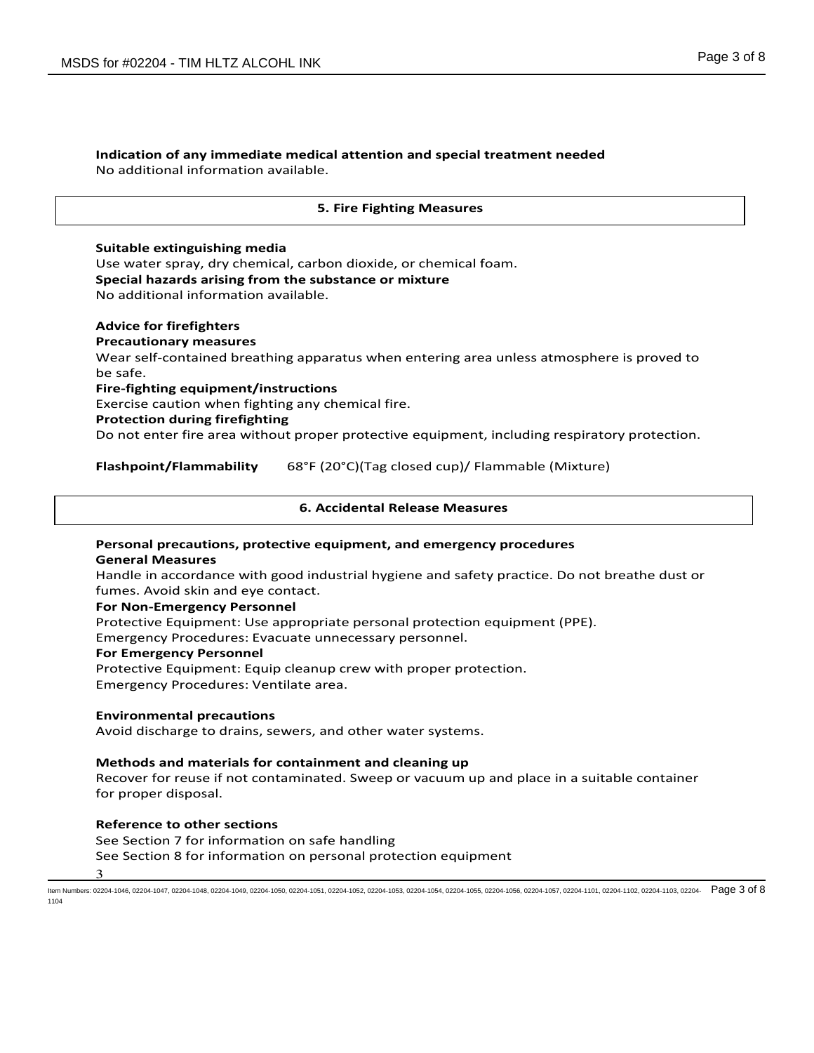### **Indication of any immediate medical attention and special treatment needed** No additional information available.

# **5. Fire Fighting Measures**

# **Suitable extinguishing media**

Use water spray, dry chemical, carbon dioxide, or chemical foam. **Special hazards arising from the substance or mixture** No additional information available.

# **Advice for firefighters**

# **Precautionary measures**

Wear self-contained breathing apparatus when entering area unless atmosphere is proved to be safe.

# **Fire-fighting equipment/instructions**

Exercise caution when fighting any chemical fire.

# **Protection during firefighting**

Do not enter fire area without proper protective equipment, including respiratory protection.

# **Flashpoint/Flammability** 68°F (20°C)(Tag closed cup)/ Flammable (Mixture)

# **6. Accidental Release Measures**

# **Personal precautions, protective equipment, and emergency procedures General Measures**

Handle in accordance with good industrial hygiene and safety practice. Do not breathe dust or fumes. Avoid skin and eye contact.

# **For Non-Emergency Personnel**

Protective Equipment: Use appropriate personal protection equipment (PPE).

Emergency Procedures: Evacuate unnecessary personnel.

# **For Emergency Personnel**

Protective Equipment: Equip cleanup crew with proper protection. Emergency Procedures: Ventilate area.

# **Environmental precautions**

Avoid discharge to drains, sewers, and other water systems.

# **Methods and materials for containment and cleaning up**

Recover for reuse if not contaminated. Sweep or vacuum up and place in a suitable container for proper disposal.

# **Reference to other sections**

3 See Section 7 for information on safe handling See Section 8 for information on personal protection equipment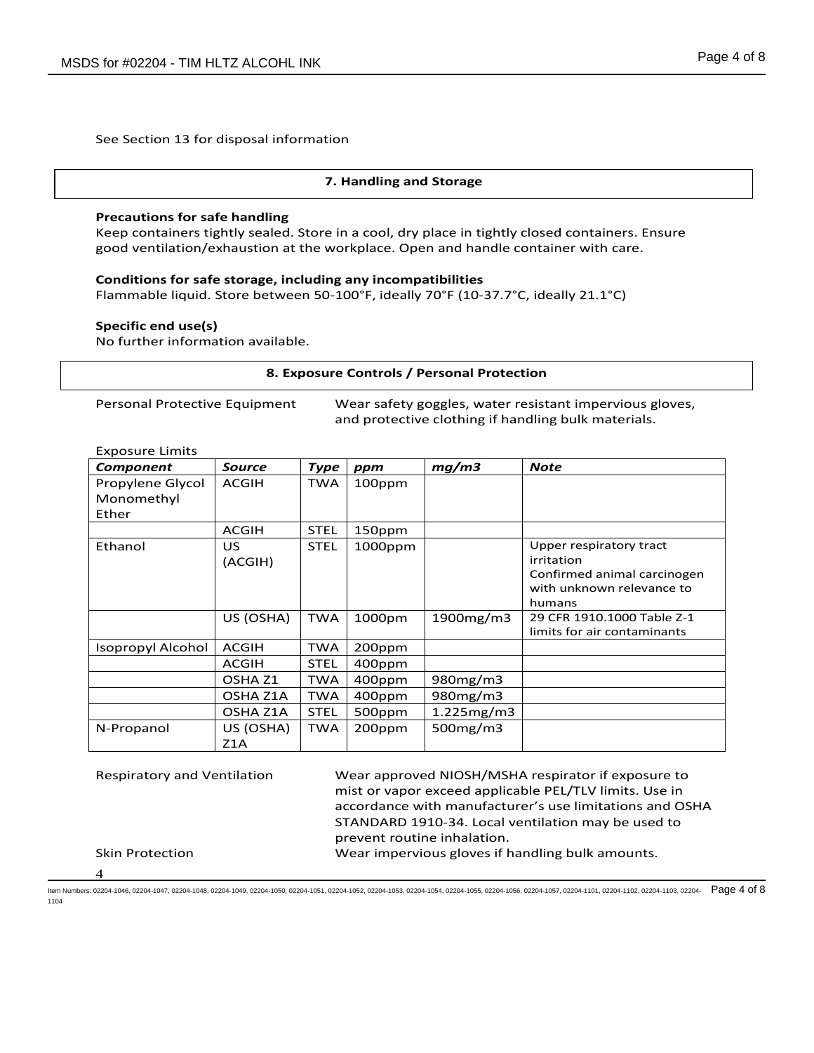See Section 13 for disposal information

# **7. Handling and Storage**

# **Precautions for safe handling**

Keep containers tightly sealed. Store in a cool, dry place in tightly closed containers. Ensure good ventilation/exhaustion at the workplace. Open and handle container with care.

# **Conditions for safe storage, including any incompatibilities**

Flammable liquid. Store between 50-100°F, ideally 70°F (10-37.7°C, ideally 21.1°C)

# **Specific end use(s)**

No further information available.

# **8. Exposure Controls / Personal Protection**

Personal Protective Equipment Wear safety goggles, water resistant impervious gloves, and protective clothing if handling bulk materials.

# Exposure Limits

| Component                | <b>Source</b>      | <b>Type</b> | ppm        | mg/m3          | <b>Note</b>                 |
|--------------------------|--------------------|-------------|------------|----------------|-----------------------------|
| Propylene Glycol         | <b>ACGIH</b>       | <b>TWA</b>  | 100ppm     |                |                             |
| Monomethyl               |                    |             |            |                |                             |
| Ether                    |                    |             |            |                |                             |
|                          | <b>ACGIH</b>       | <b>STEL</b> | 150ppm     |                |                             |
| Ethanol                  | <b>US</b>          | <b>STEL</b> | $1000$ ppm |                | Upper respiratory tract     |
|                          | (ACGIH)            |             |            |                | irritation                  |
|                          |                    |             |            |                | Confirmed animal carcinogen |
|                          |                    |             |            |                | with unknown relevance to   |
|                          |                    |             |            |                | humans                      |
|                          | US (OSHA)          | <b>TWA</b>  | 1000pm     | 1900mg/m3      | 29 CFR 1910.1000 Table Z-1  |
|                          |                    |             |            |                | limits for air contaminants |
| <b>Isopropyl Alcohol</b> | <b>ACGIH</b>       | <b>TWA</b>  | 200ppm     |                |                             |
|                          | <b>ACGIH</b>       | <b>STEL</b> | 400ppm     |                |                             |
|                          | OSHA <sub>Z1</sub> | <b>TWA</b>  | 400ppm     | 980mg/m3       |                             |
|                          | OSHA Z1A           | <b>TWA</b>  | 400ppm     | 980mg/m3       |                             |
|                          | OSHA Z1A           | <b>STEL</b> | 500ppm     | 1.225mg/m3     |                             |
| N-Propanol               | US (OSHA)          | <b>TWA</b>  | 200ppm     | $500$ mg/m $3$ |                             |
|                          | Z1A                |             |            |                |                             |

Respiratory and Ventilation Wear approved NIOSH/MSHA respirator if exposure to mist or vapor exceed applicable PEL/TLV limits. Use in accordance with manufacturer's use limitations and OSHA STANDARD 1910-34. Local ventilation may be used to prevent routine inhalation. Skin Protection Wear impervious gloves if handling bulk amounts.

4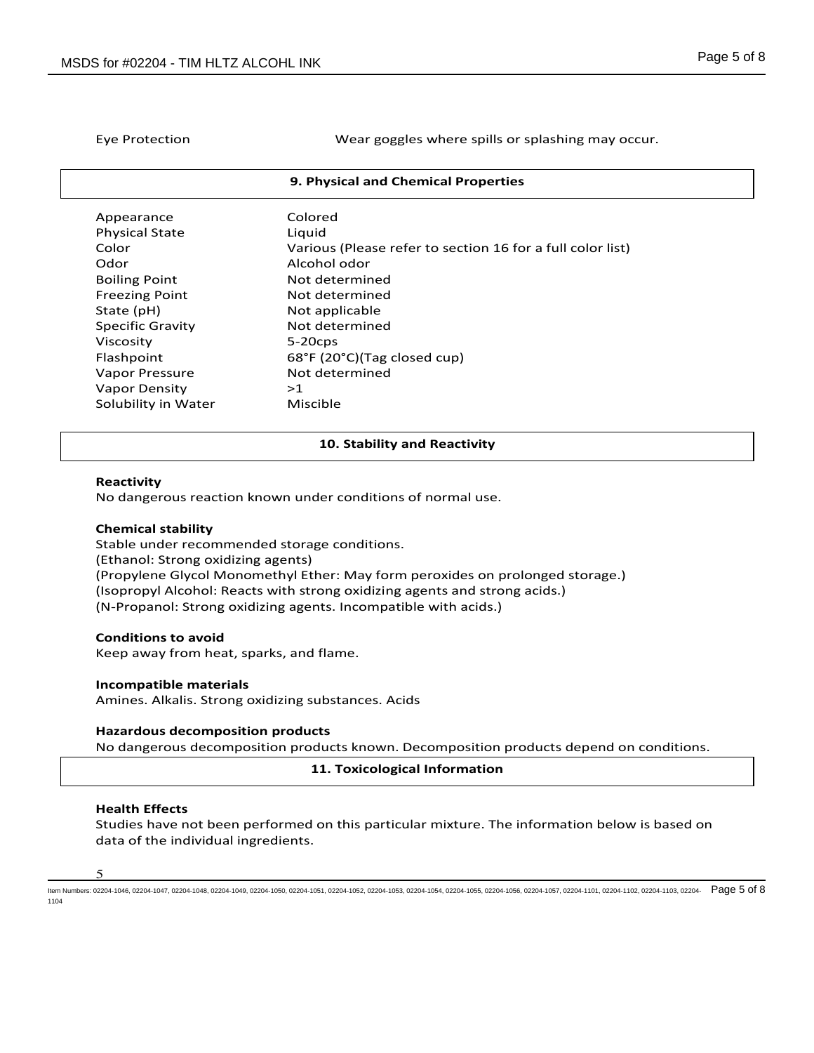Eye Protection Wear goggles where spills or splashing may occur.

#### **9. Physical and Chemical Properties**

| Appearance              | Colored                                                    |
|-------------------------|------------------------------------------------------------|
| <b>Physical State</b>   | Liguid                                                     |
| Color                   | Various (Please refer to section 16 for a full color list) |
| Odor                    | Alcohol odor                                               |
| <b>Boiling Point</b>    | Not determined                                             |
| <b>Freezing Point</b>   | Not determined                                             |
| State (pH)              | Not applicable                                             |
| <b>Specific Gravity</b> | Not determined                                             |
| Viscosity               | $5-20$ cps                                                 |
| Flashpoint              | 68°F (20°C)(Tag closed cup)                                |
| Vapor Pressure          | Not determined                                             |
| <b>Vapor Density</b>    | >1                                                         |
| Solubility in Water     | Miscible                                                   |

#### **10. Stability and Reactivity**

#### **Reactivity**

No dangerous reaction known under conditions of normal use.

#### **Chemical stability**

Stable under recommended storage conditions. (Ethanol: Strong oxidizing agents) (Propylene Glycol Monomethyl Ether: May form peroxides on prolonged storage.) (Isopropyl Alcohol: Reacts with strong oxidizing agents and strong acids.) (N-Propanol: Strong oxidizing agents. Incompatible with acids.)

#### **Conditions to avoid**

Keep away from heat, sparks, and flame.

#### **Incompatible materials**

Amines. Alkalis. Strong oxidizing substances. Acids

#### **Hazardous decomposition products**

No dangerous decomposition products known. Decomposition products depend on conditions.

## **11. Toxicological Information**

#### **Health Effects**

Studies have not been performed on this particular mixture. The information below is based on data of the individual ingredients.

5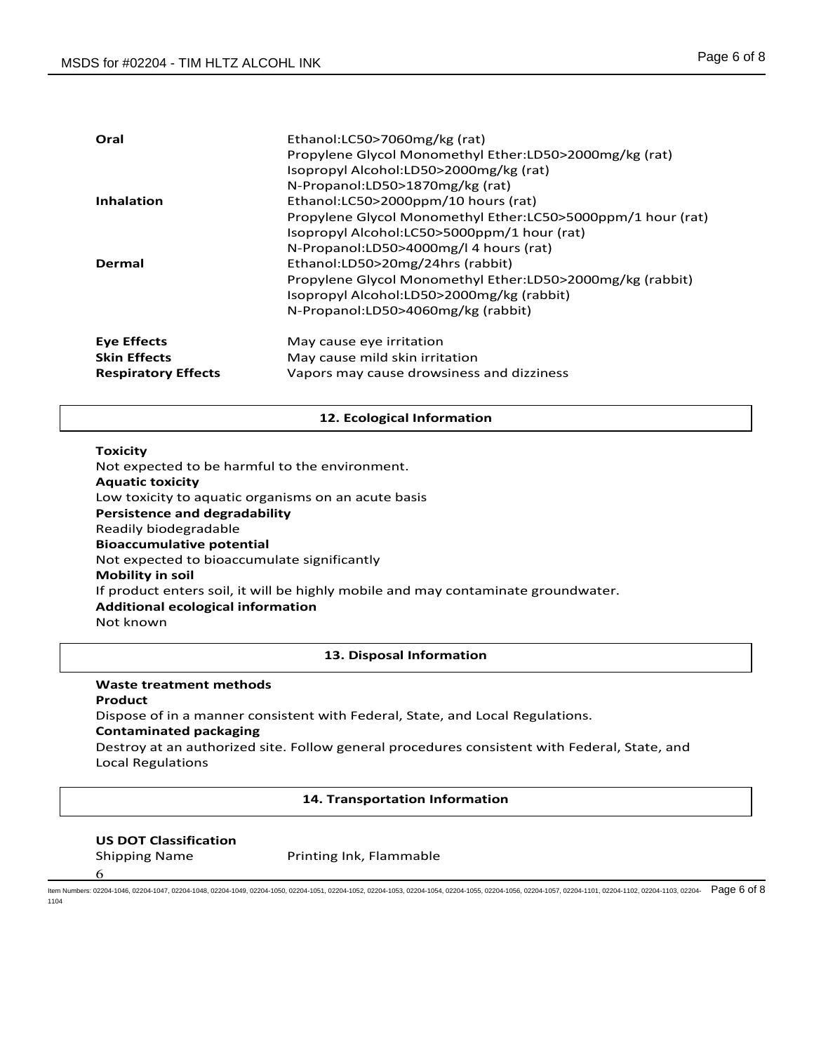| Oral                       | Ethanol:LC50>7060mg/kg (rat)<br>Propylene Glycol Monomethyl Ether:LD50>2000mg/kg (rat)<br>Isopropyl Alcohol:LD50>2000mg/kg (rat)<br>N-Propanol:LD50>1870mg/kg (rat)                         |
|----------------------------|---------------------------------------------------------------------------------------------------------------------------------------------------------------------------------------------|
| <b>Inhalation</b>          | Ethanol:LC50>2000ppm/10 hours (rat)<br>Propylene Glycol Monomethyl Ether:LC50>5000ppm/1 hour (rat)<br>Isopropyl Alcohol:LC50>5000ppm/1 hour (rat)<br>N-Propanol:LD50>4000mg/l 4 hours (rat) |
| Dermal                     | Ethanol:LD50>20mg/24hrs (rabbit)<br>Propylene Glycol Monomethyl Ether:LD50>2000mg/kg (rabbit)<br>Isopropyl Alcohol:LD50>2000mg/kg (rabbit)<br>N-Propanol:LD50>4060mg/kg (rabbit)            |
| Eye Effects                | May cause eye irritation                                                                                                                                                                    |
| <b>Skin Effects</b>        | May cause mild skin irritation                                                                                                                                                              |
| <b>Respiratory Effects</b> | Vapors may cause drowsiness and dizziness                                                                                                                                                   |

# **12. Ecological Information**

# **Toxicity**

Not expected to be harmful to the environment. **Aquatic toxicity** Low toxicity to aquatic organisms on an acute basis **Persistence and degradability** Readily biodegradable **Bioaccumulative potential** Not expected to bioaccumulate significantly **Mobility in soil** If product enters soil, it will be highly mobile and may contaminate groundwater. **Additional ecological information** Not known

## **13. Disposal Information**

#### **Waste treatment methods**

# **Product**

Dispose of in a manner consistent with Federal, State, and Local Regulations.

# **Contaminated packaging**

Destroy at an authorized site. Follow general procedures consistent with Federal, State, and Local Regulations

#### **14. Transportation Information**

# **US DOT Classification**

6

Shipping Name **Printing Ink, Flammable**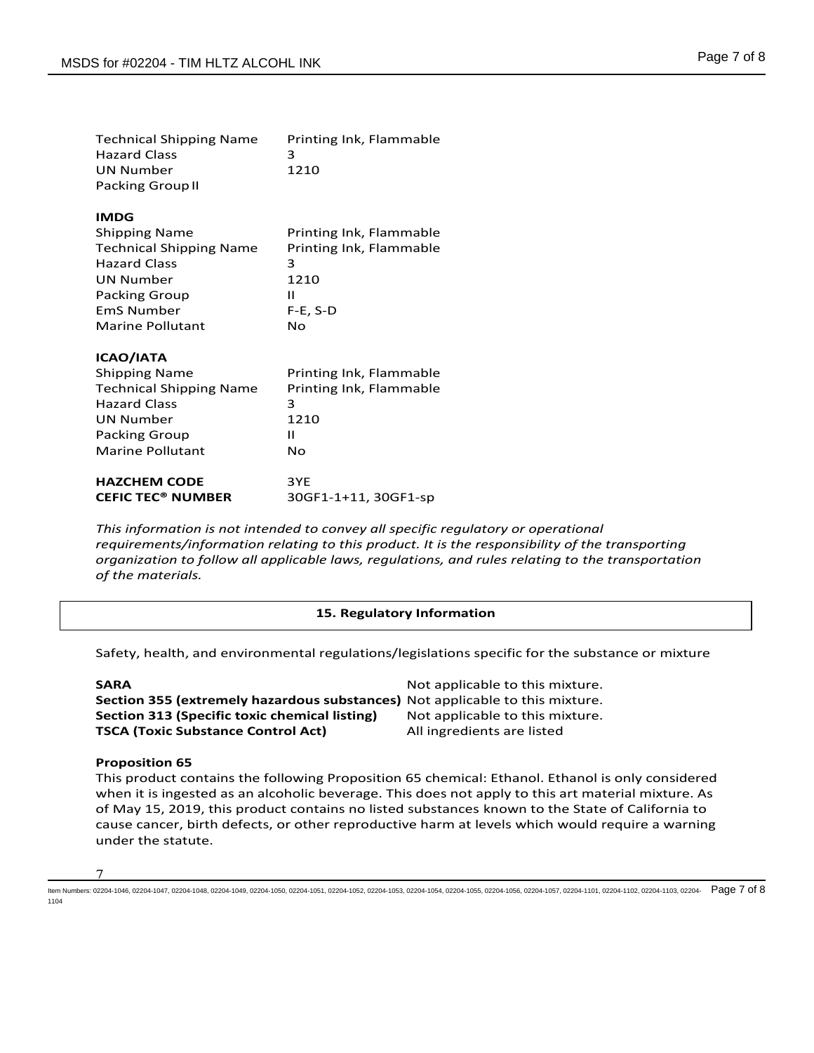| Page 7 of 8 |  |  |
|-------------|--|--|
|             |  |  |

| <b>Technical Shipping Name</b><br><b>Hazard Class</b><br><b>UN Number</b><br><b>Packing Group II</b>                                                                              | Printing Ink, Flammable<br>3<br>1210                                                     |
|-----------------------------------------------------------------------------------------------------------------------------------------------------------------------------------|------------------------------------------------------------------------------------------|
| <b>IMDG</b><br><b>Shipping Name</b><br><b>Technical Shipping Name</b><br><b>Hazard Class</b><br><b>UN Number</b><br><b>Packing Group</b><br><b>FmS Number</b><br>Marine Pollutant | Printing Ink, Flammable<br>Printing Ink, Flammable<br>3<br>1210<br>Ш<br>$F-E, S-D$<br>No |
| ICAO/IATA<br><b>Shipping Name</b><br><b>Technical Shipping Name</b><br><b>Hazard Class</b><br><b>UN Number</b><br><b>Packing Group</b><br><b>Marine Pollutant</b>                 | Printing Ink, Flammable<br>Printing Ink, Flammable<br>3<br>1210<br>Ш<br>No               |
| <b>HAZCHEM CODE</b><br><b>CEFIC TEC<sup>®</sup> NUMBER</b>                                                                                                                        | 3YE<br>30GF1-1+11, 30GF1-sp                                                              |

*This information is not intended to convey all specific regulatory or operational requirements/information relating to this product. It is the responsibility of the transporting organization to follow all applicable laws, regulations, and rules relating to the transportation of the materials.* 

# **15. Regulatory Information**

Safety, health, and environmental regulations/legislations specific for the substance or mixture

**Section 355 (extremely hazardous substances)** Not applicable to this mixture. **Section 313 (Specific toxic chemical listing)** Not applicable to this mixture. **TSCA (Toxic Substance Control Act)** All ingredients are listed

Not applicable to this mixture.

#### **Proposition 65**

This product contains the following Proposition 65 chemical: Ethanol. Ethanol is only considered when it is ingested as an alcoholic beverage. This does not apply to this art material mixture. As of May 15, 2019, this product contains no listed substances known to the State of California to cause cancer, birth defects, or other reproductive harm at levels which would require a warning under the statute.

#### 7